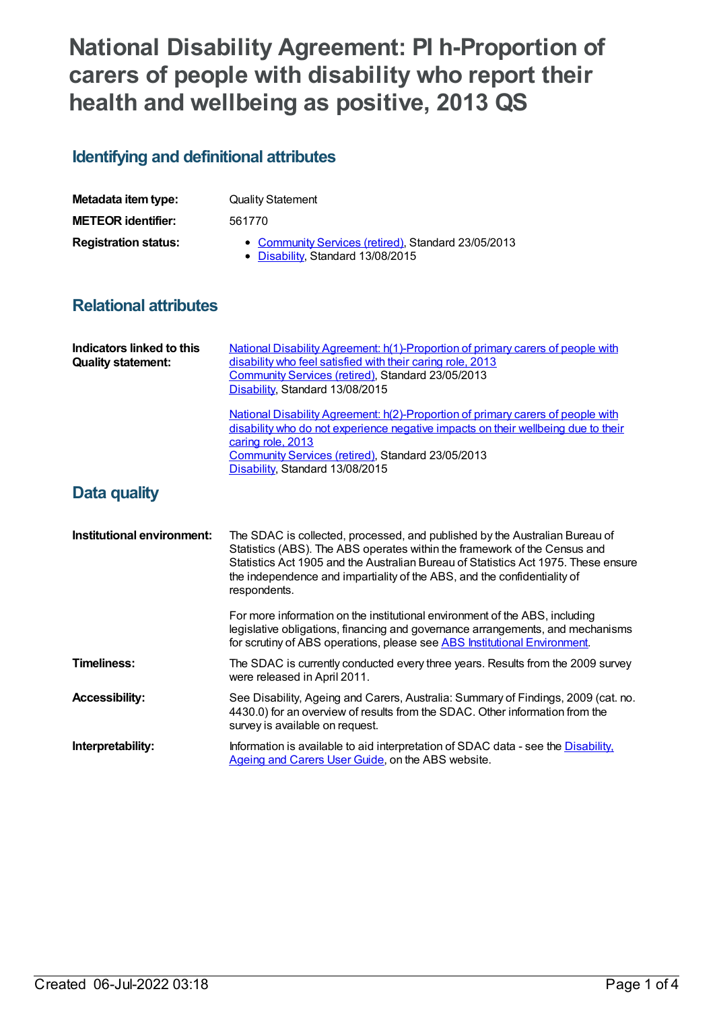# **National Disability Agreement: PI h-Proportion of carers of people with disability who report their health and wellbeing as positive, 2013 QS**

## **Identifying and definitional attributes**

| Metadata item type:         | <b>Quality Statement</b>                                                                 |
|-----------------------------|------------------------------------------------------------------------------------------|
| <b>METEOR</b> identifier:   | 561770                                                                                   |
| <b>Registration status:</b> | • Community Services (retired), Standard 23/05/2013<br>• Disability, Standard 13/08/2015 |

#### **Relational attributes**

| Indicators linked to this<br><b>Quality statement:</b> | <b>National Disability Agreement: h(1)-Proportion of primary carers of people with</b><br>disability who feel satisfied with their caring role, 2013<br>Community Services (retired), Standard 23/05/2013<br>Disability, Standard 13/08/2015                                                                                               |
|--------------------------------------------------------|--------------------------------------------------------------------------------------------------------------------------------------------------------------------------------------------------------------------------------------------------------------------------------------------------------------------------------------------|
|                                                        | National Disability Agreement: h(2)-Proportion of primary carers of people with<br>disability who do not experience negative impacts on their wellbeing due to their<br>caring role, 2013<br>Community Services (retired), Standard 23/05/2013<br>Disability, Standard 13/08/2015                                                          |
| Data quality                                           |                                                                                                                                                                                                                                                                                                                                            |
| Institutional environment:                             | The SDAC is collected, processed, and published by the Australian Bureau of<br>Statistics (ABS). The ABS operates within the framework of the Census and<br>Statistics Act 1905 and the Australian Bureau of Statistics Act 1975. These ensure<br>the independence and impartiality of the ABS, and the confidentiality of<br>respondents. |
|                                                        | For more information on the institutional environment of the ABS, including<br>legislative obligations, financing and governance arrangements, and mechanisms<br>for scrutiny of ABS operations, please see ABS Institutional Environment.                                                                                                 |
| <b>Timeliness:</b>                                     | The SDAC is currently conducted every three years. Results from the 2009 survey<br>were released in April 2011.                                                                                                                                                                                                                            |
| <b>Accessibility:</b>                                  | See Disability, Ageing and Carers, Australia: Summary of Findings, 2009 (cat. no.<br>4430.0) for an overview of results from the SDAC. Other information from the<br>survey is available on request.                                                                                                                                       |
| Interpretability:                                      | Information is available to aid interpretation of SDAC data - see the Disability.<br>Ageing and Carers User Guide, on the ABS website.                                                                                                                                                                                                     |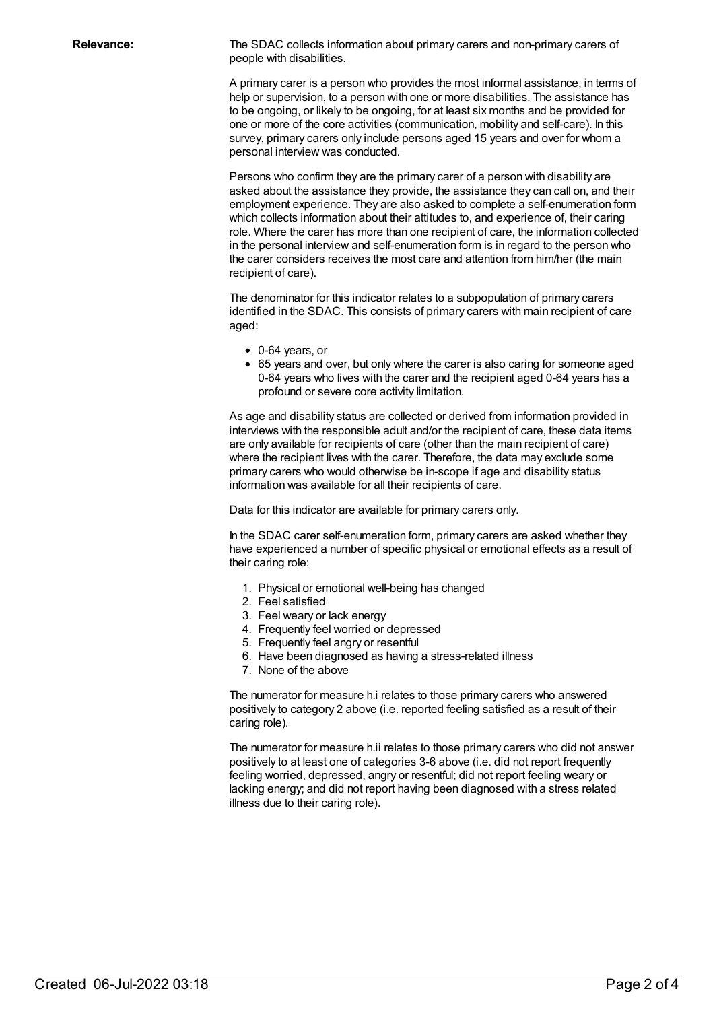**Relevance:** The SDAC collects information about primary carers and non-primary carers of people with disabilities.

> A primary carer is a person who provides the most informal assistance, in terms of help or supervision, to a person with one or more disabilities. The assistance has to be ongoing, or likely to be ongoing, for at least six months and be provided for one or more of the core activities (communication, mobility and self-care). In this survey, primary carers only include persons aged 15 years and over for whom a personal interview was conducted.

> Persons who confirm they are the primary carer of a person with disability are asked about the assistance they provide, the assistance they can call on, and their employment experience. They are also asked to complete a self-enumeration form which collects information about their attitudes to, and experience of, their caring role. Where the carer has more than one recipient of care, the information collected in the personal interview and self-enumeration form is in regard to the person who the carer considers receives the most care and attention from him/her (the main recipient of care).

The denominator for this indicator relates to a subpopulation of primary carers identified in the SDAC. This consists of primary carers with main recipient of care aged:

- 0-64 years, or
- 65 years and over, but only where the carer is also caring for someone aged 0-64 years who lives with the carer and the recipient aged 0-64 years has a profound or severe core activity limitation.

As age and disability status are collected or derived from information provided in interviews with the responsible adult and/or the recipient of care, these data items are only available for recipients of care (other than the main recipient of care) where the recipient lives with the carer. Therefore, the data may exclude some primary carers who would otherwise be in-scope if age and disability status information was available for all their recipients of care.

Data for this indicator are available for primary carers only.

In the SDAC carer self-enumeration form, primary carers are asked whether they have experienced a number of specific physical or emotional effects as a result of their caring role:

- 1. Physical or emotional well-being has changed
- 2. Feel satisfied
- 3. Feel weary or lack energy
- 4. Frequently feel worried or depressed
- 5. Frequently feel angry or resentful
- 6. Have been diagnosed as having a stress-related illness
- 7. None of the above

The numerator for measure h.i relates to those primary carers who answered positively to category 2 above (i.e. reported feeling satisfied as a result of their caring role).

The numerator for measure h.ii relates to those primary carers who did not answer positively to at least one of categories 3-6 above (i.e. did not report frequently feeling worried, depressed, angry or resentful; did not report feeling weary or lacking energy; and did not report having been diagnosed with a stress related illness due to their caring role).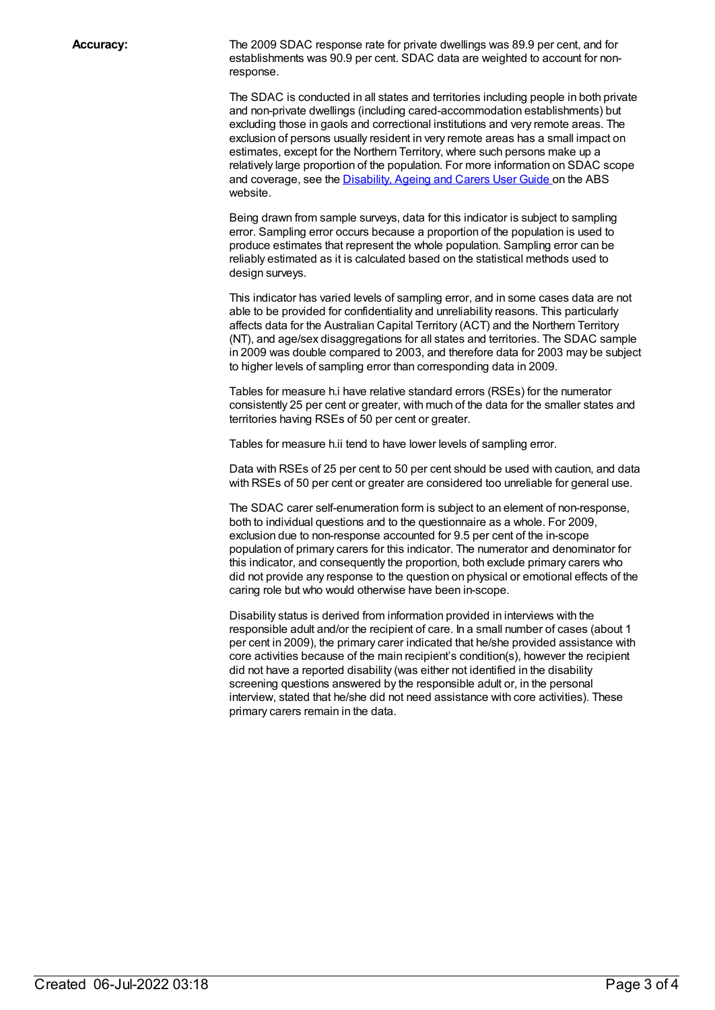**Accuracy:** The 2009 SDAC response rate for private dwellings was 89.9 per cent, and for establishments was 90.9 per cent. SDAC data are weighted to account for nonresponse.

> The SDAC is conducted in all states and territories including people in both private and non-private dwellings (including cared-accommodation establishments) but excluding those in gaols and correctional institutions and very remote areas. The exclusion of persons usually resident in very remote areas has a small impact on estimates, except for the Northern Territory, where such persons make up a relatively large proportion of the population. For more information on SDAC scope and coverage, see the [Disability,](http://www.abs.gov.au/AUSSTATS/abs@.nsf/productsbyCatalogue/AD3B3FB7F90EB3D4CA2570B500830B64?OpenDocument) Ageing and Carers User Guide on the ABS website.

Being drawn from sample surveys, data for this indicator is subject to sampling error. Sampling error occurs because a proportion of the population is used to produce estimates that represent the whole population. Sampling error can be reliably estimated as it is calculated based on the statistical methods used to design surveys.

This indicator has varied levels of sampling error, and in some cases data are not able to be provided for confidentiality and unreliability reasons. This particularly affects data for the Australian Capital Territory (ACT) and the Northern Territory (NT), and age/sex disaggregations for all states and territories. The SDAC sample in 2009 was double compared to 2003, and therefore data for 2003 may be subject to higher levels of sampling error than corresponding data in 2009.

Tables for measure h.i have relative standard errors (RSEs) for the numerator consistently 25 per cent or greater, with much of the data for the smaller states and territories having RSEs of 50 per cent or greater.

Tables for measure h.ii tend to have lower levels of sampling error.

Data with RSEs of 25 per cent to 50 per cent should be used with caution, and data with RSEs of 50 per cent or greater are considered too unreliable for general use.

The SDAC carer self-enumeration form is subject to an element of non-response, both to individual questions and to the questionnaire as a whole. For 2009, exclusion due to non-response accounted for 9.5 per cent of the in-scope population of primary carers for this indicator. The numerator and denominator for this indicator, and consequently the proportion, both exclude primary carers who did not provide any response to the question on physical or emotional effects of the caring role but who would otherwise have been in-scope.

Disability status is derived from information provided in interviews with the responsible adult and/or the recipient of care. In a small number of cases (about 1 per cent in 2009), the primary carer indicated that he/she provided assistance with core activities because of the main recipient's condition(s), however the recipient did not have a reported disability (was either not identified in the disability screening questions answered by the responsible adult or, in the personal interview, stated that he/she did not need assistance with core activities). These primary carers remain in the data.